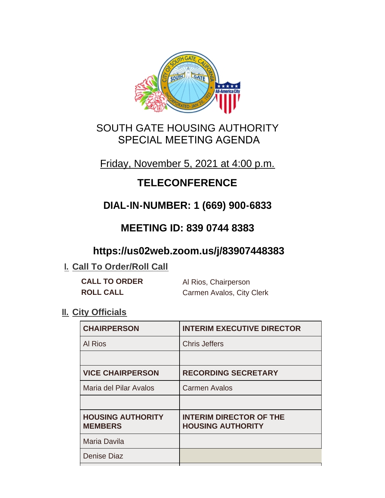

### SOUTH GATE HOUSING AUTHORITY SPECIAL MEETING AGENDA

### Friday, November 5, 2021 at 4:00 p.m.

# **TELECONFERENCE**

# **DIAL-IN-NUMBER: 1 (669) 900-6833**

## **MEETING ID: 839 0744 8383**

## **https://us02web.zoom.us/j/83907448383**

### **I. Call To Order/Roll Call**

| <b>CALL TO ORDER</b> | Al Rios, Chairperson      |
|----------------------|---------------------------|
| <b>ROLL CALL</b>     | Carmen Avalos, City Clerk |

### **II.** City Officials

| <b>INTERIM EXECUTIVE DIRECTOR</b>                          |
|------------------------------------------------------------|
| <b>Chris Jeffers</b>                                       |
|                                                            |
| <b>RECORDING SECRETARY</b>                                 |
| <b>Carmen Avalos</b>                                       |
|                                                            |
| <b>INTERIM DIRECTOR OF THE</b><br><b>HOUSING AUTHORITY</b> |
|                                                            |
|                                                            |
|                                                            |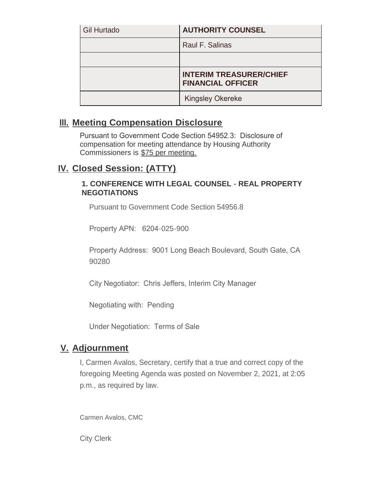| <b>Gil Hurtado</b> | <b>AUTHORITY COUNSEL</b>                                   |
|--------------------|------------------------------------------------------------|
|                    | Raul F. Salinas                                            |
|                    |                                                            |
|                    | <b>INTERIM TREASURER/CHIEF</b><br><b>FINANCIAL OFFICER</b> |
|                    | <b>Kingsley Okereke</b>                                    |

#### **Meeting Compensation Disclosure III.**

Pursuant to Government Code Section 54952.3: Disclosure of compensation for meeting attendance by Housing Authority Commissioners is \$75 per meeting.

### **Closed Session: (ATTY) IV.**

#### **1. CONFERENCE WITH LEGAL COUNSEL - REAL PROPERTY NEGOTIATIONS**

Pursuant to Government Code Section 54956.8

Property APN: 6204-025-900

Property Address: 9001 Long Beach Boulevard, South Gate, CA 90280

City Negotiator: Chris Jeffers, Interim City Manager

Negotiating with: Pending

Under Negotiation: Terms of Sale

#### **Adjournment V.**

I, Carmen Avalos, Secretary, certify that a true and correct copy of the foregoing Meeting Agenda was posted on November 2, 2021, at 2:05 p.m., as required by law.

Carmen Avalos, CMC

City Clerk